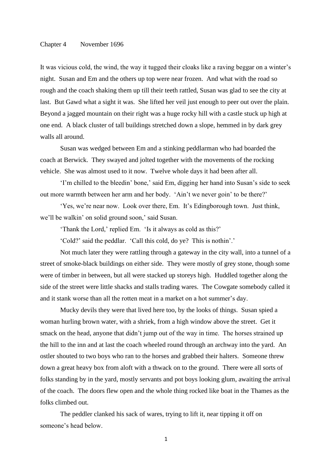## Chapter 4 November 1696

It was vicious cold, the wind, the way it tugged their cloaks like a raving beggar on a winter's night. Susan and Em and the others up top were near frozen. And what with the road so rough and the coach shaking them up till their teeth rattled, Susan was glad to see the city at last. But Gawd what a sight it was. She lifted her veil just enough to peer out over the plain. Beyond a jagged mountain on their right was a huge rocky hill with a castle stuck up high at one end. A black cluster of tall buildings stretched down a slope, hemmed in by dark grey walls all around.

Susan was wedged between Em and a stinking peddlarman who had boarded the coach at Berwick. They swayed and jolted together with the movements of the rocking vehicle. She was almost used to it now. Twelve whole days it had been after all.

'I'm chilled to the bleedin' bone,' said Em, digging her hand into Susan's side to seek out more warmth between her arm and her body. 'Ain't we never goin' to be there?'

'Yes, we're near now. Look over there, Em. It's Edingborough town. Just think, we'll be walkin' on solid ground soon,' said Susan.

'Thank the Lord,' replied Em. 'Is it always as cold as this?'

'Cold?' said the peddlar. 'Call this cold, do ye? This is nothin'.'

Not much later they were rattling through a gateway in the city wall, into a tunnel of a street of smoke-black buildings on either side. They were mostly of grey stone, though some were of timber in between, but all were stacked up storeys high. Huddled together along the side of the street were little shacks and stalls trading wares. The Cowgate somebody called it and it stank worse than all the rotten meat in a market on a hot summer's day.

Mucky devils they were that lived here too, by the looks of things. Susan spied a woman hurling brown water, with a shriek, from a high window above the street. Get it smack on the head, anyone that didn't jump out of the way in time. The horses strained up the hill to the inn and at last the coach wheeled round through an archway into the yard. An ostler shouted to two boys who ran to the horses and grabbed their halters. Someone threw down a great heavy box from aloft with a thwack on to the ground. There were all sorts of folks standing by in the yard, mostly servants and pot boys looking glum, awaiting the arrival of the coach. The doors flew open and the whole thing rocked like boat in the Thames as the folks climbed out.

The peddler clanked his sack of wares, trying to lift it, near tipping it off on someone's head below.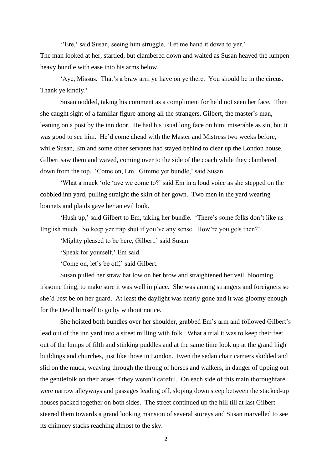''Ere,' said Susan, seeing him struggle, 'Let me hand it down to yer.'

The man looked at her, startled, but clambered down and waited as Susan heaved the lumpen heavy bundle with ease into his arms below.

'Aye, Missus. That's a braw arm ye have on ye there. You should be in the circus. Thank ye kindly.'

Susan nodded, taking his comment as a compliment for he'd not seen her face. Then she caught sight of a familiar figure among all the strangers, Gilbert, the master's man, leaning on a post by the inn door. He had his usual long face on him, miserable as sin, but it was good to see him. He'd come ahead with the Master and Mistress two weeks before, while Susan, Em and some other servants had stayed behind to clear up the London house. Gilbert saw them and waved, coming over to the side of the coach while they clambered down from the top. 'Come on, Em. Gimme yer bundle,' said Susan.

'What a muck 'ole 'ave we come to?' said Em in a loud voice as she stepped on the cobbled inn yard, pulling straight the skirt of her gown. Two men in the yard wearing bonnets and plaids gave her an evil look.

'Hush up,' said Gilbert to Em, taking her bundle. 'There's some folks don't like us English much. So keep yer trap shut if you've any sense. How're you gels then?'

'Mighty pleased to be here, Gilbert,' said Susan.

'Speak for yourself,' Em said.

'Come on, let's be off,' said Gilbert.

Susan pulled her straw hat low on her brow and straightened her veil, blooming irksome thing, to make sure it was well in place. She was among strangers and foreigners so she'd best be on her guard. At least the daylight was nearly gone and it was gloomy enough for the Devil himself to go by without notice.

She hoisted both bundles over her shoulder, grabbed Em's arm and followed Gilbert's lead out of the inn yard into a street milling with folk. What a trial it was to keep their feet out of the lumps of filth and stinking puddles and at the same time look up at the grand high buildings and churches, just like those in London. Even the sedan chair carriers skidded and slid on the muck, weaving through the throng of horses and walkers, in danger of tipping out the gentlefolk on their arses if they weren't careful. On each side of this main thoroughfare were narrow alleyways and passages leading off, sloping down steep between the stacked-up houses packed together on both sides. The street continued up the hill till at last Gilbert steered them towards a grand looking mansion of several storeys and Susan marvelled to see its chimney stacks reaching almost to the sky.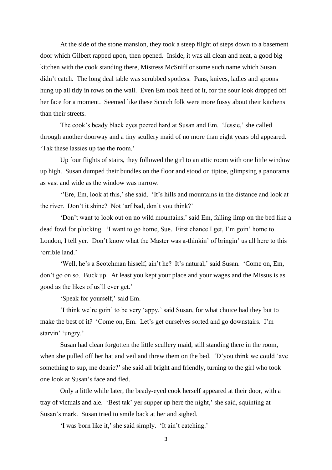At the side of the stone mansion, they took a steep flight of steps down to a basement door which Gilbert rapped upon, then opened. Inside, it was all clean and neat, a good big kitchen with the cook standing there, Mistress McSniff or some such name which Susan didn't catch. The long deal table was scrubbed spotless. Pans, knives, ladles and spoons hung up all tidy in rows on the wall. Even Em took heed of it, for the sour look dropped off her face for a moment. Seemed like these Scotch folk were more fussy about their kitchens than their streets.

The cook's beady black eyes peered hard at Susan and Em. 'Jessie,' she called through another doorway and a tiny scullery maid of no more than eight years old appeared. 'Tak these lassies up tae the room.'

Up four flights of stairs, they followed the girl to an attic room with one little window up high. Susan dumped their bundles on the floor and stood on tiptoe, glimpsing a panorama as vast and wide as the window was narrow.

''Ere, Em, look at this,' she said. 'It's hills and mountains in the distance and look at the river. Don't it shine? Not 'arf bad, don't you think?'

'Don't want to look out on no wild mountains,' said Em, falling limp on the bed like a dead fowl for plucking. 'I want to go home, Sue. First chance I get, I'm goin' home to London, I tell yer. Don't know what the Master was a-thinkin' of bringin' us all here to this 'orrible land.'

'Well, he's a Scotchman hisself, ain't he? It's natural,' said Susan. 'Come on, Em, don't go on so. Buck up. At least you kept your place and your wages and the Missus is as good as the likes of us'll ever get.'

'Speak for yourself,' said Em.

'I think we're goin' to be very 'appy,' said Susan, for what choice had they but to make the best of it? 'Come on, Em. Let's get ourselves sorted and go downstairs. I'm starvin' 'ungry.'

Susan had clean forgotten the little scullery maid, still standing there in the room, when she pulled off her hat and veil and threw them on the bed. 'D'you think we could 'ave something to sup, me dearie?' she said all bright and friendly, turning to the girl who took one look at Susan's face and fled.

Only a little while later, the beady-eyed cook herself appeared at their door, with a tray of victuals and ale. 'Best tak' yer supper up here the night,' she said, squinting at Susan's mark. Susan tried to smile back at her and sighed.

'I was born like it,' she said simply. 'It ain't catching.'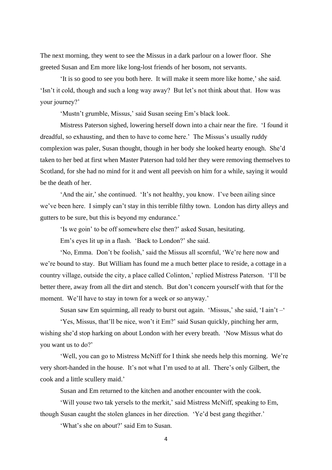The next morning, they went to see the Missus in a dark parlour on a lower floor. She greeted Susan and Em more like long-lost friends of her bosom, not servants.

'It is so good to see you both here. It will make it seem more like home,' she said. 'Isn't it cold, though and such a long way away? But let's not think about that. How was your journey?'

'Mustn't grumble, Missus,' said Susan seeing Em's black look.

Mistress Paterson sighed, lowering herself down into a chair near the fire. 'I found it dreadful, so exhausting, and then to have to come here.' The Missus's usually ruddy complexion was paler, Susan thought, though in her body she looked hearty enough. She'd taken to her bed at first when Master Paterson had told her they were removing themselves to Scotland, for she had no mind for it and went all peevish on him for a while, saying it would be the death of her.

'And the air,' she continued. 'It's not healthy, you know. I've been ailing since we've been here. I simply can't stay in this terrible filthy town. London has dirty alleys and gutters to be sure, but this is beyond my endurance.'

'Is we goin' to be off somewhere else then?' asked Susan, hesitating.

Em's eyes lit up in a flash. 'Back to London?' she said.

'No, Emma. Don't be foolish,' said the Missus all scornful, 'We're here now and we're bound to stay. But William has found me a much better place to reside, a cottage in a country village, outside the city, a place called Colinton,' replied Mistress Paterson. 'I'll be better there, away from all the dirt and stench. But don't concern yourself with that for the moment. We'll have to stay in town for a week or so anyway.'

Susan saw Em squirming, all ready to burst out again. 'Missus,' she said, 'I ain't –'

'Yes, Missus, that'll be nice, won't it Em?' said Susan quickly, pinching her arm, wishing she'd stop harking on about London with her every breath. 'Now Missus what do you want us to do?'

'Well, you can go to Mistress McNiff for I think she needs help this morning. We're very short-handed in the house. It's not what I'm used to at all. There's only Gilbert, the cook and a little scullery maid.'

Susan and Em returned to the kitchen and another encounter with the cook.

'Will youse two tak yersels to the merkit,' said Mistress McNiff, speaking to Em, though Susan caught the stolen glances in her direction. 'Ye'd best gang thegither.'

'What's she on about?' said Em to Susan.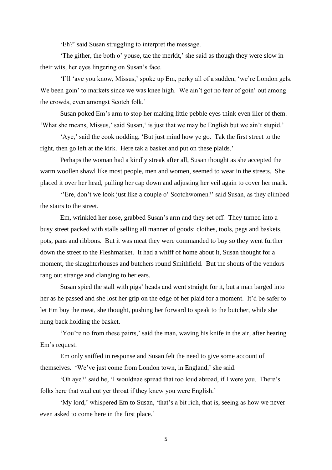'Eh?' said Susan struggling to interpret the message.

'The gither, the both o' youse, tae the merkit,' she said as though they were slow in their wits, her eyes lingering on Susan's face.

'I'll 'ave you know, Missus,' spoke up Em, perky all of a sudden, 'we're London gels. We been goin' to markets since we was knee high. We ain't got no fear of goin' out among the crowds, even amongst Scotch folk.'

Susan poked Em's arm to stop her making little pebble eyes think even iller of them. 'What she means, Missus,' said Susan,' is just that we may be English but we ain't stupid.'

'Aye,' said the cook nodding, 'But just mind how ye go. Tak the first street to the right, then go left at the kirk. Here tak a basket and put on these plaids.'

Perhaps the woman had a kindly streak after all, Susan thought as she accepted the warm woollen shawl like most people, men and women, seemed to wear in the streets. She placed it over her head, pulling her cap down and adjusting her veil again to cover her mark.

''Ere, don't we look just like a couple o' Scotchwomen?' said Susan, as they climbed the stairs to the street.

Em, wrinkled her nose, grabbed Susan's arm and they set off. They turned into a busy street packed with stalls selling all manner of goods: clothes, tools, pegs and baskets, pots, pans and ribbons. But it was meat they were commanded to buy so they went further down the street to the Fleshmarket. It had a whiff of home about it, Susan thought for a moment, the slaughterhouses and butchers round Smithfield. But the shouts of the vendors rang out strange and clanging to her ears.

Susan spied the stall with pigs' heads and went straight for it, but a man barged into her as he passed and she lost her grip on the edge of her plaid for a moment. It'd be safer to let Em buy the meat, she thought, pushing her forward to speak to the butcher, while she hung back holding the basket.

'You're no from these pairts,' said the man, waving his knife in the air, after hearing Em's request.

Em only sniffed in response and Susan felt the need to give some account of themselves. 'We've just come from London town, in England,' she said.

'Oh aye?' said he, 'I wouldnae spread that too loud abroad, if I were you. There's folks here that wad cut yer throat if they knew you were English.'

'My lord,' whispered Em to Susan, 'that's a bit rich, that is, seeing as how we never even asked to come here in the first place.'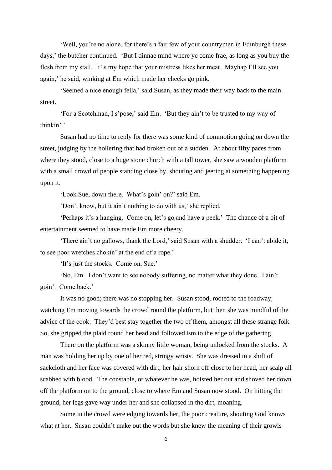'Well, you're no alone, for there's a fair few of your countrymen in Edinburgh these days,' the butcher continued. 'But I dinnae mind where ye come frae, as long as you buy the flesh from my stall. It' s my hope that your mistress likes her meat. Mayhap I'll see you again,' he said, winking at Em which made her cheeks go pink.

'Seemed a nice enough fella,' said Susan, as they made their way back to the main street.

'For a Scotchman, I s'pose,' said Em. 'But they ain't to be trusted to my way of thinkin'.'

Susan had no time to reply for there was some kind of commotion going on down the street, judging by the hollering that had broken out of a sudden. At about fifty paces from where they stood, close to a huge stone church with a tall tower, she saw a wooden platform with a small crowd of people standing close by, shouting and jeering at something happening upon it.

'Look Sue, down there. What's goin' on?' said Em.

'Don't know, but it ain't nothing to do with us,' she replied.

'Perhaps it's a hanging. Come on, let's go and have a peek.' The chance of a bit of entertainment seemed to have made Em more cheery.

'There ain't no gallows, thank the Lord,' said Susan with a shudder. 'I can't abide it, to see poor wretches chokin' at the end of a rope.'

'It's just the stocks. Come on, Sue.'

'No, Em. I don't want to see nobody suffering, no matter what they done. I ain't goin'. Come back.'

It was no good; there was no stopping her. Susan stood, rooted to the roadway, watching Em moving towards the crowd round the platform, but then she was mindful of the advice of the cook. They'd best stay together the two of them, amongst all these strange folk. So, she gripped the plaid round her head and followed Em to the edge of the gathering.

There on the platform was a skinny little woman, being unlocked from the stocks. A man was holding her up by one of her red, stringy wrists. She was dressed in a shift of sackcloth and her face was covered with dirt, her hair shorn off close to her head, her scalp all scabbed with blood. The constable, or whatever he was, hoisted her out and shoved her down off the platform on to the ground, close to where Em and Susan now stood. On hitting the ground, her legs gave way under her and she collapsed in the dirt, moaning.

Some in the crowd were edging towards her, the poor creature, shouting God knows what at her. Susan couldn't make out the words but she knew the meaning of their growls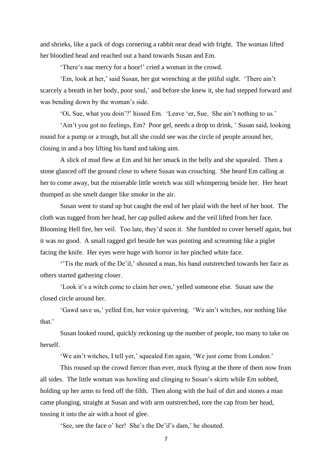and shrieks, like a pack of dogs cornering a rabbit near dead with fright. The woman lifted her bloodied head and reached out a hand towards Susan and Em.

'There's nae mercy for a hoor!' cried a woman in the crowd.

'Em, look at her,' said Susan, her gut wrenching at the pitiful sight. 'There ain't scarcely a breath in her body, poor soul,' and before she knew it, she had stepped forward and was bending down by the woman's side.

'Oi, Sue, what you doin'?' hissed Em. 'Leave 'er, Sue. She ain't nothing to us.'

'Ain't you got no feelings, Em? Poor gel, needs a drop to drink, ' Susan said, looking round for a pump or a trough, but all she could see was the circle of people around her, closing in and a boy lifting his hand and taking aim.

A slick of mud flew at Em and hit her smack in the belly and she squealed. Then a stone glanced off the ground close to where Susan was crouching. She heard Em calling at her to come away, but the miserable little wretch was still whimpering beside her. Her heart thumped as she smelt danger like smoke in the air.

Susan went to stand up but caught the end of her plaid with the heel of her boot. The cloth was tugged from her head, her cap pulled askew and the veil lifted from her face. Blooming Hell fire, her veil. Too late, they'd seen it. She fumbled to cover herself again, but it was no good. A small ragged girl beside her was pointing and screaming like a piglet facing the knife. Her eyes were huge with horror in her pinched white face.

''Tis the mark of the De'il,' shouted a man, his hand outstretched towards her face as others started gathering closer.

'Look it's a witch come to claim her own,' yelled someone else. Susan saw the closed circle around her.

'Gawd save us,' yelled Em, her voice quivering. 'We ain't witches, nor nothing like that.'

Susan looked round, quickly reckoning up the number of people, too many to take on herself.

'We ain't witches, I tell yer,' squealed Em again, 'We just come from London.'

This roused up the crowd fiercer than ever, muck flying at the three of them now from all sides. The little woman was howling and clinging to Susan's skirts while Em sobbed, holding up her arms to fend off the filth. Then along with the hail of dirt and stones a man came plunging, straight at Susan and with arm outstretched, tore the cap from her head, tossing it into the air with a hoot of glee.

'See, see the face o' her! She's the De'il's dam,' he shouted.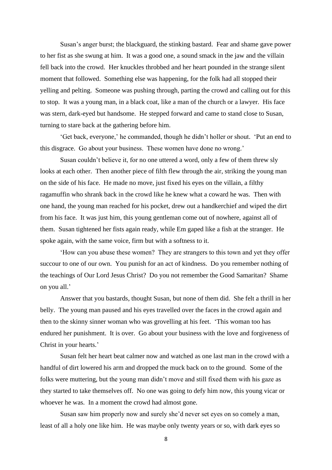Susan's anger burst; the blackguard, the stinking bastard. Fear and shame gave power to her fist as she swung at him. It was a good one, a sound smack in the jaw and the villain fell back into the crowd. Her knuckles throbbed and her heart pounded in the strange silent moment that followed. Something else was happening, for the folk had all stopped their yelling and pelting. Someone was pushing through, parting the crowd and calling out for this to stop. It was a young man, in a black coat, like a man of the church or a lawyer. His face was stern, dark-eyed but handsome. He stepped forward and came to stand close to Susan, turning to stare back at the gathering before him.

'Get back, everyone,' he commanded, though he didn't holler or shout. 'Put an end to this disgrace. Go about your business. These women have done no wrong.'

Susan couldn't believe it, for no one uttered a word, only a few of them threw sly looks at each other. Then another piece of filth flew through the air, striking the young man on the side of his face. He made no move, just fixed his eyes on the villain, a filthy ragamuffin who shrank back in the crowd like he knew what a coward he was. Then with one hand, the young man reached for his pocket, drew out a handkerchief and wiped the dirt from his face. It was just him, this young gentleman come out of nowhere, against all of them. Susan tightened her fists again ready, while Em gaped like a fish at the stranger. He spoke again, with the same voice, firm but with a softness to it.

'How can you abuse these women? They are strangers to this town and yet they offer succour to one of our own. You punish for an act of kindness. Do you remember nothing of the teachings of Our Lord Jesus Christ? Do you not remember the Good Samaritan? Shame on you all.'

Answer that you bastards, thought Susan, but none of them did. She felt a thrill in her belly. The young man paused and his eyes travelled over the faces in the crowd again and then to the skinny sinner woman who was grovelling at his feet. 'This woman too has endured her punishment. It is over. Go about your business with the love and forgiveness of Christ in your hearts.'

Susan felt her heart beat calmer now and watched as one last man in the crowd with a handful of dirt lowered his arm and dropped the muck back on to the ground. Some of the folks were muttering, but the young man didn't move and still fixed them with his gaze as they started to take themselves off. No one was going to defy him now, this young vicar or whoever he was. In a moment the crowd had almost gone.

Susan saw him properly now and surely she'd never set eyes on so comely a man, least of all a holy one like him. He was maybe only twenty years or so, with dark eyes so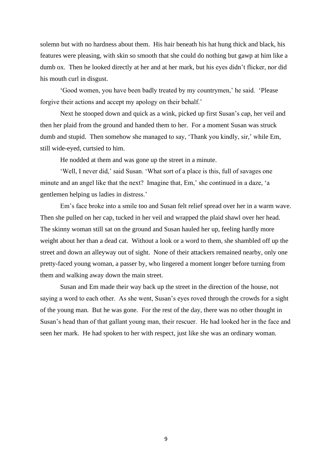solemn but with no hardness about them. His hair beneath his hat hung thick and black, his features were pleasing, with skin so smooth that she could do nothing but gawp at him like a dumb ox. Then he looked directly at her and at her mark, but his eyes didn't flicker, nor did his mouth curl in disgust.

'Good women, you have been badly treated by my countrymen,' he said. 'Please forgive their actions and accept my apology on their behalf.'

Next he stooped down and quick as a wink, picked up first Susan's cap, her veil and then her plaid from the ground and handed them to her. For a moment Susan was struck dumb and stupid. Then somehow she managed to say, 'Thank you kindly, sir,' while Em, still wide-eyed, curtsied to him.

He nodded at them and was gone up the street in a minute.

'Well, I never did,' said Susan. 'What sort of a place is this, full of savages one minute and an angel like that the next? Imagine that, Em,' she continued in a daze, 'a gentlemen helping us ladies in distress.'

Em's face broke into a smile too and Susan felt relief spread over her in a warm wave. Then she pulled on her cap, tucked in her veil and wrapped the plaid shawl over her head. The skinny woman still sat on the ground and Susan hauled her up, feeling hardly more weight about her than a dead cat. Without a look or a word to them, she shambled off up the street and down an alleyway out of sight. None of their attackers remained nearby, only one pretty-faced young woman, a passer by, who lingered a moment longer before turning from them and walking away down the main street.

Susan and Em made their way back up the street in the direction of the house, not saying a word to each other. As she went, Susan's eyes roved through the crowds for a sight of the young man. But he was gone. For the rest of the day, there was no other thought in Susan's head than of that gallant young man, their rescuer. He had looked her in the face and seen her mark. He had spoken to her with respect, just like she was an ordinary woman.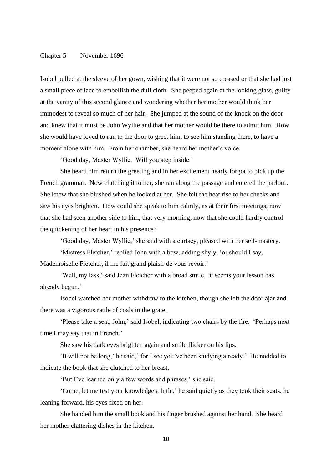## Chapter 5 November 1696

Isobel pulled at the sleeve of her gown, wishing that it were not so creased or that she had just a small piece of lace to embellish the dull cloth. She peeped again at the looking glass, guilty at the vanity of this second glance and wondering whether her mother would think her immodest to reveal so much of her hair. She jumped at the sound of the knock on the door and knew that it must be John Wyllie and that her mother would be there to admit him. How she would have loved to run to the door to greet him, to see him standing there, to have a moment alone with him. From her chamber, she heard her mother's voice.

'Good day, Master Wyllie. Will you step inside.'

She heard him return the greeting and in her excitement nearly forgot to pick up the French grammar. Now clutching it to her, she ran along the passage and entered the parlour. She knew that she blushed when he looked at her. She felt the heat rise to her cheeks and saw his eyes brighten. How could she speak to him calmly, as at their first meetings, now that she had seen another side to him, that very morning, now that she could hardly control the quickening of her heart in his presence?

'Good day, Master Wyllie,' she said with a curtsey, pleased with her self-mastery.

'Mistress Fletcher,' replied John with a bow, adding shyly, 'or should I say, Mademoiselle Fletcher, il me fait grand plaisir de vous revoir.'

'Well, my lass,' said Jean Fletcher with a broad smile, 'it seems your lesson has already begun.'

Isobel watched her mother withdraw to the kitchen, though she left the door ajar and there was a vigorous rattle of coals in the grate.

'Please take a seat, John,' said Isobel, indicating two chairs by the fire. 'Perhaps next time I may say that in French.'

She saw his dark eyes brighten again and smile flicker on his lips.

'It will not be long,' he said,' for I see you've been studying already.' He nodded to indicate the book that she clutched to her breast.

'But I've learned only a few words and phrases,' she said.

'Come, let me test your knowledge a little,' he said quietly as they took their seats, he leaning forward, his eyes fixed on her.

She handed him the small book and his finger brushed against her hand. She heard her mother clattering dishes in the kitchen.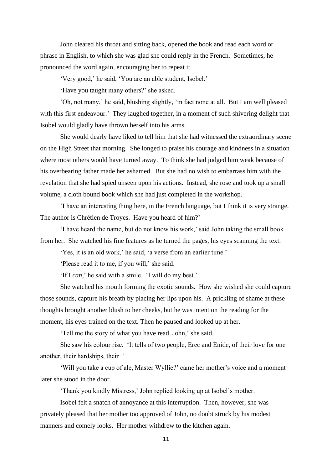John cleared his throat and sitting back, opened the book and read each word or phrase in English, to which she was glad she could reply in the French. Sometimes, he pronounced the word again, encouraging her to repeat it.

'Very good,' he said, 'You are an able student, Isobel.'

'Have you taught many others?' she asked.

'Oh, not many,' he said, blushing slightly, 'in fact none at all. But I am well pleased with this first endeavour.' They laughed together, in a moment of such shivering delight that Isobel would gladly have thrown herself into his arms.

She would dearly have liked to tell him that she had witnessed the extraordinary scene on the High Street that morning. She longed to praise his courage and kindness in a situation where most others would have turned away. To think she had judged him weak because of his overbearing father made her ashamed. But she had no wish to embarrass him with the revelation that she had spied unseen upon his actions. Instead, she rose and took up a small volume, a cloth bound book which she had just completed in the workshop.

'I have an interesting thing here, in the French language, but I think it is very strange. The author is Chrétien de Troyes. Have you heard of him?'

'I have heard the name, but do not know his work,' said John taking the small book from her. She watched his fine features as he turned the pages, his eyes scanning the text.

'Yes, it is an old work,' he said, 'a verse from an earlier time.'

'Please read it to me, if you will,' she said.

'If I *can*,' he said with a smile. 'I will do my best.'

She watched his mouth forming the exotic sounds. How she wished she could capture those sounds, capture his breath by placing her lips upon his. A prickling of shame at these thoughts brought another blush to her cheeks, but he was intent on the reading for the moment, his eyes trained on the text. Then he paused and looked up at her.

'Tell me the story of what you have read, John,' she said.

She saw his colour rise. 'It tells of two people, Erec and Enide, of their love for one another, their hardships, their−'

'Will you take a cup of ale, Master Wyllie?' came her mother's voice and a moment later she stood in the door.

'Thank you kindly Mistress,' John replied looking up at Isobel's mother.

Isobel felt a snatch of annoyance at this interruption. Then, however, she was privately pleased that her mother too approved of John, no doubt struck by his modest manners and comely looks. Her mother withdrew to the kitchen again.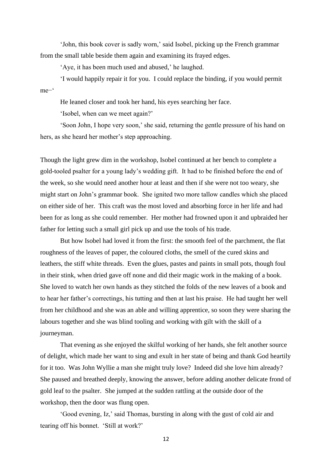'John, this book cover is sadly worn,' said Isobel, picking up the French grammar from the small table beside them again and examining its frayed edges.

'Aye, it has been much used and abused,' he laughed.

'I would happily repair it for you. I could replace the binding, if you would permit me−'

He leaned closer and took her hand, his eyes searching her face.

'Isobel, when can we meet again?'

'Soon John, I hope very soon,' she said, returning the gentle pressure of his hand on hers, as she heard her mother's step approaching.

Though the light grew dim in the workshop, Isobel continued at her bench to complete a gold-tooled psalter for a young lady's wedding gift. It had to be finished before the end of the week, so she would need another hour at least and then if she were not too weary, she might start on John's grammar book. She ignited two more tallow candles which she placed on either side of her. This craft was the most loved and absorbing force in her life and had been for as long as she could remember. Her mother had frowned upon it and upbraided her father for letting such a small girl pick up and use the tools of his trade.

But how Isobel had loved it from the first: the smooth feel of the parchment, the flat roughness of the leaves of paper, the coloured cloths, the smell of the cured skins and leathers, the stiff white threads. Even the glues, pastes and paints in small pots, though foul in their stink, when dried gave off none and did their magic work in the making of a book. She loved to watch her own hands as they stitched the folds of the new leaves of a book and to hear her father's correctings, his tutting and then at last his praise. He had taught her well from her childhood and she was an able and willing apprentice, so soon they were sharing the labours together and she was blind tooling and working with gilt with the skill of a journeyman.

That evening as she enjoyed the skilful working of her hands, she felt another source of delight, which made her want to sing and exult in her state of being and thank God heartily for it too. Was John Wyllie a man she might truly love? Indeed did she love him already? She paused and breathed deeply, knowing the answer, before adding another delicate frond of gold leaf to the psalter. She jumped at the sudden rattling at the outside door of the workshop, then the door was flung open.

'Good evening, Iz,' said Thomas, bursting in along with the gust of cold air and tearing off his bonnet. 'Still at work?'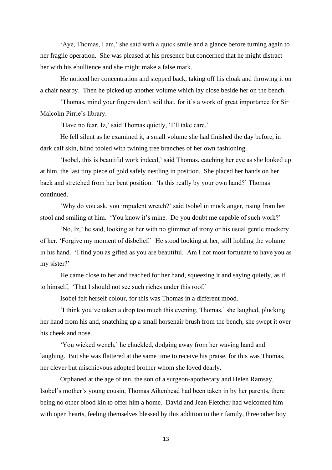'Aye, Thomas, I am,' she said with a quick smile and a glance before turning again to her fragile operation. She was pleased at his presence but concerned that he might distract her with his ebullience and she might make a false mark.

He noticed her concentration and stepped back, taking off his cloak and throwing it on a chair nearby. Then he picked up another volume which lay close beside her on the bench.

'Thomas, mind your fingers don't soil that, for it's a work of great importance for Sir Malcolm Pirrie's library.

'Have no fear, Iz,' said Thomas quietly, 'I'll take care.'

He fell silent as he examined it, a small volume she had finished the day before, in dark calf skin, blind tooled with twining tree branches of her own fashioning.

'Isobel, this is beautiful work indeed,' said Thomas, catching her eye as she looked up at him, the last tiny piece of gold safely nestling in position. She placed her hands on her back and stretched from her bent position. 'Is this really by your own hand?' Thomas continued.

'Why do you ask, you impudent wretch?' said Isobel in mock anger, rising from her stool and smiling at him. 'You know it's mine. Do you doubt me capable of such work?'

'No, Iz,' he said, looking at her with no glimmer of irony or his usual gentle mockery of her. 'Forgive my moment of disbelief.' He stood looking at her, still holding the volume in his hand. 'I find you as gifted as you are beautiful. Am I not most fortunate to have you as my sister?'

He came close to her and reached for her hand, squeezing it and saying quietly, as if to himself, 'That I should not see such riches under this roof.'

Isobel felt herself colour, for this was Thomas in a different mood.

'I think you've taken a drop too much this evening, Thomas,' she laughed, plucking her hand from his and, snatching up a small horsehair brush from the bench, she swept it over his cheek and nose.

'You wicked wench,' he chuckled, dodging away from her waving hand and laughing. But she was flattered at the same time to receive his praise, for this was Thomas, her clever but mischievous adopted brother whom she loved dearly.

Orphaned at the age of ten, the son of a surgeon-apothecary and Helen Ramsay, Isobel's mother's young cousin, Thomas Aikenhead had been taken in by her parents, there being no other blood kin to offer him a home. David and Jean Fletcher had welcomed him with open hearts, feeling themselves blessed by this addition to their family, three other boy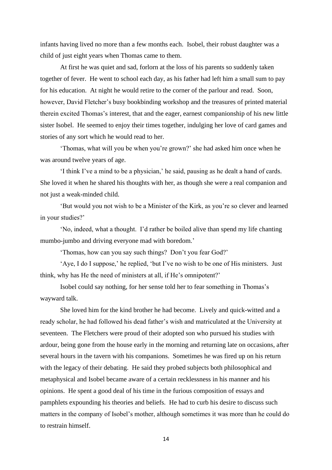infants having lived no more than a few months each. Isobel, their robust daughter was a child of just eight years when Thomas came to them.

At first he was quiet and sad, forlorn at the loss of his parents so suddenly taken together of fever. He went to school each day, as his father had left him a small sum to pay for his education. At night he would retire to the corner of the parlour and read. Soon, however, David Fletcher's busy bookbinding workshop and the treasures of printed material therein excited Thomas's interest, that and the eager, earnest companionship of his new little sister Isobel. He seemed to enjoy their times together, indulging her love of card games and stories of any sort which he would read to her.

'Thomas, what will you be when you're grown?' she had asked him once when he was around twelve years of age.

'I think I've a mind to be a physician,' he said, pausing as he dealt a hand of cards. She loved it when he shared his thoughts with her, as though she were a real companion and not just a weak-minded child.

'But would you not wish to be a Minister of the Kirk, as you're so clever and learned in your studies?'

'No, indeed, what a thought. I'd rather be boiled alive than spend my life chanting mumbo-jumbo and driving everyone mad with boredom.'

'Thomas, how can you say such things? Don't you fear God?'

'Aye, I do I suppose,' he replied, 'but I've no wish to be one of His ministers. Just think, why has He the need of ministers at all, if He's omnipotent?'

Isobel could say nothing, for her sense told her to fear something in Thomas's wayward talk.

She loved him for the kind brother he had become. Lively and quick-witted and a ready scholar, he had followed his dead father's wish and matriculated at the University at seventeen. The Fletchers were proud of their adopted son who pursued his studies with ardour, being gone from the house early in the morning and returning late on occasions, after several hours in the tavern with his companions. Sometimes he was fired up on his return with the legacy of their debating. He said they probed subjects both philosophical and metaphysical and Isobel became aware of a certain recklessness in his manner and his opinions. He spent a good deal of his time in the furious composition of essays and pamphlets expounding his theories and beliefs. He had to curb his desire to discuss such matters in the company of Isobel's mother, although sometimes it was more than he could do to restrain himself.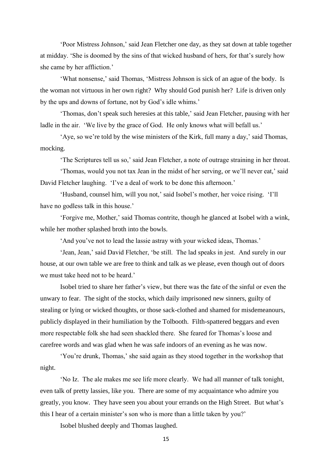'Poor Mistress Johnson,' said Jean Fletcher one day, as they sat down at table together at midday. 'She is doomed by the sins of that wicked husband of hers, for that's surely how she came by her affliction.'

'What nonsense,' said Thomas, 'Mistress Johnson is sick of an ague of the body. Is the woman not virtuous in her own right? Why should God punish her? Life is driven only by the ups and downs of fortune, not by God's idle whims.'

'Thomas, don't speak such heresies at this table,' said Jean Fletcher, pausing with her ladle in the air. 'We live by the grace of God. He only knows what will befall us.'

'Aye, so we're told by the wise ministers of the Kirk, full many a day,' said Thomas, mocking.

'The Scriptures tell us so,' said Jean Fletcher, a note of outrage straining in her throat.

'Thomas, would you not tax Jean in the midst of her serving, or we'll never eat,' said David Fletcher laughing. 'I've a deal of work to be done this afternoon.'

'Husband, counsel him, will you not,' said Isobel's mother, her voice rising. 'I'll have no godless talk in this house.'

'Forgive me, Mother,' said Thomas contrite, though he glanced at Isobel with a wink, while her mother splashed broth into the bowls.

'And you've not to lead the lassie astray with your wicked ideas, Thomas.'

'Jean, Jean,' said David Fletcher, 'be still. The lad speaks in jest. And surely in our house, at our own table we are free to think and talk as we please, even though out of doors we must take heed not to be heard.'

Isobel tried to share her father's view, but there was the fate of the sinful or even the unwary to fear. The sight of the stocks, which daily imprisoned new sinners, guilty of stealing or lying or wicked thoughts, or those sack-clothed and shamed for misdemeanours, publicly displayed in their humiliation by the Tolbooth. Filth-spattered beggars and even more respectable folk she had seen shackled there. She feared for Thomas's loose and carefree words and was glad when he was safe indoors of an evening as he was now.

'You're drunk, Thomas,' she said again as they stood together in the workshop that night.

'No Iz. The ale makes me see life more clearly. We had all manner of talk tonight, even talk of pretty lassies, like you. There are some of my acquaintance who admire you greatly, you know. They have seen you about your errands on the High Street. But what's this I hear of a certain minister's son who is more than a little taken by you?'

Isobel blushed deeply and Thomas laughed.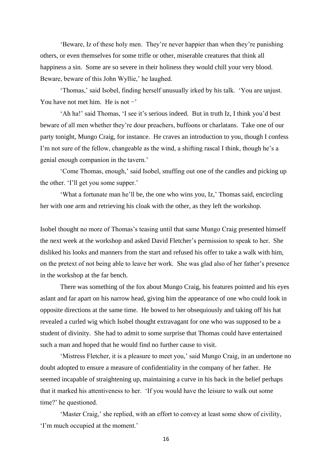'Beware, Iz of these holy men. They're never happier than when they're punishing others, or even themselves for some trifle or other, miserable creatures that think all happiness a sin. Some are so severe in their holiness they would chill your very blood. Beware, beware of this John Wyllie,' he laughed.

'Thomas,' said Isobel, finding herself unusually irked by his talk. 'You are unjust. You have not met him. He is not  $-$ '

'Ah ha!' said Thomas, 'I see it's serious indeed. But in truth Iz, I think you'd best beware of all men whether they're dour preachers, buffoons or charlatans. Take one of our party tonight, Mungo Craig, for instance. He craves an introduction to you, though I confess I'm not sure of the fellow, changeable as the wind, a shifting rascal I think, though he's a genial enough companion in the tavern.'

'Come Thomas, enough,' said Isobel, snuffing out one of the candles and picking up the other. 'I'll get you some supper.'

'What a fortunate man he'll be, the one who wins you, Iz,' Thomas said, encircling her with one arm and retrieving his cloak with the other, as they left the workshop.

Isobel thought no more of Thomas's teasing until that same Mungo Craig presented himself the next week at the workshop and asked David Fletcher's permission to speak to her. She disliked his looks and manners from the start and refused his offer to take a walk with him, on the pretext of not being able to leave her work. She was glad also of her father's presence in the workshop at the far bench.

There was something of the fox about Mungo Craig, his features pointed and his eyes aslant and far apart on his narrow head, giving him the appearance of one who could look in opposite directions at the same time. He bowed to her obsequiously and taking off his hat revealed a curled wig which Isobel thought extravagant for one who was supposed to be a student of divinity. She had to admit to some surprise that Thomas could have entertained such a man and hoped that he would find no further cause to visit.

'Mistress Fletcher, it is a pleasure to meet you,' said Mungo Craig, in an undertone no doubt adopted to ensure a measure of confidentiality in the company of her father. He seemed incapable of straightening up, maintaining a curve in his back in the belief perhaps that it marked his attentiveness to her. 'If you would have the leisure to walk out some time?' he questioned.

'Master Craig,' she replied, with an effort to convey at least some show of civility, 'I'm much occupied at the moment.'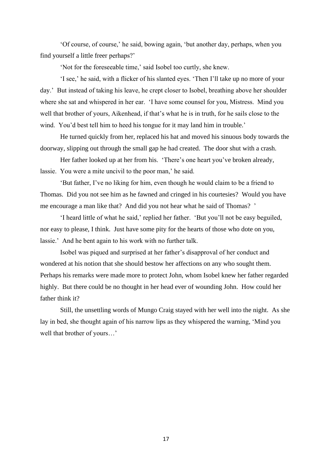'Of course, of course,' he said, bowing again, 'but another day, perhaps, when you find yourself a little freer perhaps?'

'Not for the foreseeable time,' said Isobel too curtly, she knew.

'I see,' he said, with a flicker of his slanted eyes. 'Then I'll take up no more of your day.' But instead of taking his leave, he crept closer to Isobel, breathing above her shoulder where she sat and whispered in her ear. 'I have some counsel for you, Mistress. Mind you well that brother of yours, Aikenhead, if that's what he is in truth, for he sails close to the wind. You'd best tell him to heed his tongue for it may land him in trouble.'

He turned quickly from her, replaced his hat and moved his sinuous body towards the doorway, slipping out through the small gap he had created. The door shut with a crash.

Her father looked up at her from his. 'There's one heart you've broken already, lassie. You were a mite uncivil to the poor man,' he said.

'But father, I've no liking for him, even though he would claim to be a friend to Thomas. Did you not see him as he fawned and cringed in his courtesies? Would you have me encourage a man like that? And did you not hear what he said of Thomas? '

'I heard little of what he said,' replied her father. 'But you'll not be easy beguiled, nor easy to please, I think. Just have some pity for the hearts of those who dote on you, lassie.' And he bent again to his work with no further talk.

Isobel was piqued and surprised at her father's disapproval of her conduct and wondered at his notion that she should bestow her affections on any who sought them. Perhaps his remarks were made more to protect John, whom Isobel knew her father regarded highly. But there could be no thought in her head ever of wounding John. How could her father think it?

Still, the unsettling words of Mungo Craig stayed with her well into the night. As she lay in bed, she thought again of his narrow lips as they whispered the warning, 'Mind you well that brother of yours…'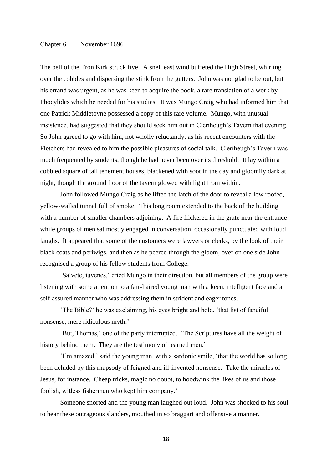## Chapter 6 November 1696

The bell of the Tron Kirk struck five. A snell east wind buffeted the High Street, whirling over the cobbles and dispersing the stink from the gutters. John was not glad to be out, but his errand was urgent, as he was keen to acquire the book, a rare translation of a work by Phocylides which he needed for his studies. It was Mungo Craig who had informed him that one Patrick Middletoyne possessed a copy of this rare volume. Mungo, with unusual insistence, had suggested that they should seek him out in Cleriheugh's Tavern that evening. So John agreed to go with him, not wholly reluctantly, as his recent encounters with the Fletchers had revealed to him the possible pleasures of social talk. Cleriheugh's Tavern was much frequented by students, though he had never been over its threshold. It lay within a cobbled square of tall tenement houses, blackened with soot in the day and gloomily dark at night, though the ground floor of the tavern glowed with light from within.

John followed Mungo Craig as he lifted the latch of the door to reveal a low roofed, yellow-walled tunnel full of smoke. This long room extended to the back of the building with a number of smaller chambers adjoining. A fire flickered in the grate near the entrance while groups of men sat mostly engaged in conversation, occasionally punctuated with loud laughs. It appeared that some of the customers were lawyers or clerks, by the look of their black coats and periwigs, and then as he peered through the gloom, over on one side John recognised a group of his fellow students from College.

'Salvete, iuvenes,' cried Mungo in their direction, but all members of the group were listening with some attention to a fair-haired young man with a keen, intelligent face and a self-assured manner who was addressing them in strident and eager tones.

'The Bible?' he was exclaiming, his eyes bright and bold, 'that list of fanciful nonsense, mere ridiculous myth.'

'But, Thomas,' one of the party interrupted. 'The Scriptures have all the weight of history behind them. They are the testimony of learned men.'

'I'm amazed,' said the young man, with a sardonic smile, 'that the world has so long been deluded by this rhapsody of feigned and ill-invented nonsense. Take the miracles of Jesus, for instance. Cheap tricks, magic no doubt, to hoodwink the likes of us and those foolish, witless fishermen who kept him company.'

Someone snorted and the young man laughed out loud. John was shocked to his soul to hear these outrageous slanders, mouthed in so braggart and offensive a manner.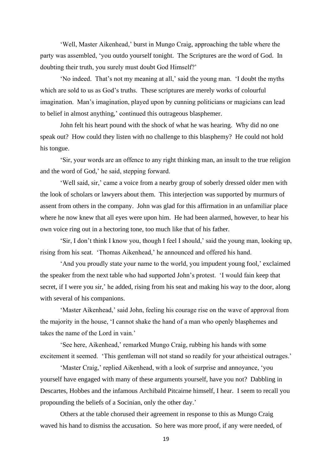'Well, Master Aikenhead,' burst in Mungo Craig, approaching the table where the party was assembled, 'you outdo yourself tonight. The Scriptures are the word of God. In doubting their truth, you surely must doubt God Himself?'

'No indeed. That's not my meaning at all,' said the young man. 'I doubt the myths which are sold to us as God's truths. These scriptures are merely works of colourful imagination. Man's imagination, played upon by cunning politicians or magicians can lead to belief in almost anything,' continued this outrageous blasphemer.

John felt his heart pound with the shock of what he was hearing. Why did no one speak out? How could they listen with no challenge to this blasphemy? He could not hold his tongue.

'Sir, your words are an offence to any right thinking man, an insult to the true religion and the word of God,' he said, stepping forward.

'Well said, sir,' came a voice from a nearby group of soberly dressed older men with the look of scholars or lawyers about them. This interjection was supported by murmurs of assent from others in the company. John was glad for this affirmation in an unfamiliar place where he now knew that all eyes were upon him. He had been alarmed, however, to hear his own voice ring out in a hectoring tone, too much like that of his father.

'Sir, I don't think I know you, though I feel I should,' said the young man, looking up, rising from his seat. 'Thomas Aikenhead,' he announced and offered his hand.

'And you proudly state your name to the world, you impudent young fool,' exclaimed the speaker from the next table who had supported John's protest. 'I would fain keep that secret, if I were you sir,' he added, rising from his seat and making his way to the door, along with several of his companions.

'Master Aikenhead,' said John, feeling his courage rise on the wave of approval from the majority in the house, 'I cannot shake the hand of a man who openly blasphemes and takes the name of the Lord in vain.'

'See here, Aikenhead,' remarked Mungo Craig, rubbing his hands with some excitement it seemed. 'This gentleman will not stand so readily for your atheistical outrages.'

'Master Craig,' replied Aikenhead, with a look of surprise and annoyance, 'you yourself have engaged with many of these arguments yourself, have you not? Dabbling in Descartes, Hobbes and the infamous Archibald Pitcairne himself, I hear. I seem to recall you propounding the beliefs of a Socinian, only the other day.'

Others at the table chorused their agreement in response to this as Mungo Craig waved his hand to dismiss the accusation. So here was more proof, if any were needed, of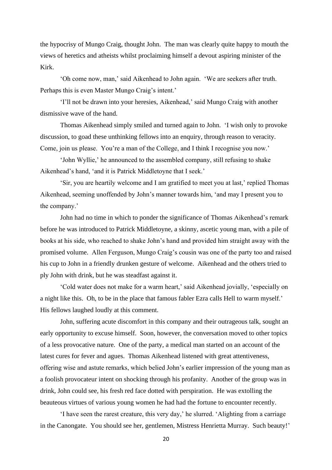the hypocrisy of Mungo Craig, thought John. The man was clearly quite happy to mouth the views of heretics and atheists whilst proclaiming himself a devout aspiring minister of the Kirk.

'Oh come now, man,' said Aikenhead to John again. 'We are seekers after truth. Perhaps this is even Master Mungo Craig's intent.'

'I'll not be drawn into your heresies, Aikenhead,' said Mungo Craig with another dismissive wave of the hand.

Thomas Aikenhead simply smiled and turned again to John. 'I wish only to provoke discussion, to goad these unthinking fellows into an enquiry, through reason to veracity. Come, join us please. You're a man of the College, and I think I recognise you now.'

'John Wyllie,' he announced to the assembled company, still refusing to shake Aikenhead's hand, 'and it is Patrick Middletoyne that I seek.'

'Sir, you are heartily welcome and I am gratified to meet you at last,' replied Thomas Aikenhead, seeming unoffended by John's manner towards him, 'and may I present you to the company.'

John had no time in which to ponder the significance of Thomas Aikenhead's remark before he was introduced to Patrick Middletoyne, a skinny, ascetic young man, with a pile of books at his side, who reached to shake John's hand and provided him straight away with the promised volume. Allen Ferguson, Mungo Craig's cousin was one of the party too and raised his cup to John in a friendly drunken gesture of welcome. Aikenhead and the others tried to ply John with drink, but he was steadfast against it.

'Cold water does not make for a warm heart,' said Aikenhead jovially, 'especially on a night like this. Oh, to be in the place that famous fabler Ezra calls Hell to warm myself.' His fellows laughed loudly at this comment.

John, suffering acute discomfort in this company and their outrageous talk, sought an early opportunity to excuse himself. Soon, however, the conversation moved to other topics of a less provocative nature. One of the party, a medical man started on an account of the latest cures for fever and agues. Thomas Aikenhead listened with great attentiveness, offering wise and astute remarks, which belied John's earlier impression of the young man as a foolish provocateur intent on shocking through his profanity. Another of the group was in drink, John could see, his fresh red face dotted with perspiration. He was extolling the beauteous virtues of various young women he had had the fortune to encounter recently.

'I have seen the rarest creature, this very day,' he slurred. 'Alighting from a carriage in the Canongate. You should see her, gentlemen, Mistress Henrietta Murray. Such beauty!'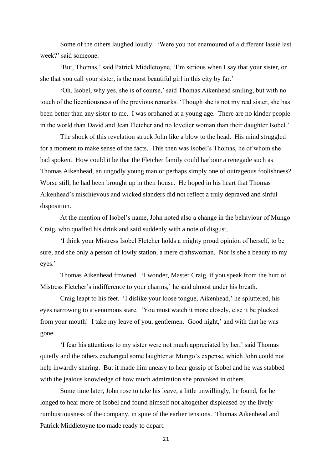Some of the others laughed loudly. 'Were you not enamoured of a different lassie last week?' said someone.

'But, Thomas,' said Patrick Middletoyne, 'I'm serious when I say that your sister, or she that you call your sister, is the most beautiful girl in this city by far.'

'Oh, Isobel, why yes, she is of course,' said Thomas Aikenhead smiling, but with no touch of the licentiousness of the previous remarks. 'Though she is not my real sister, she has been better than any sister to me. I was orphaned at a young age. There are no kinder people in the world than David and Jean Fletcher and no lovelier woman than their daughter Isobel.'

The shock of this revelation struck John like a blow to the head. His mind struggled for a moment to make sense of the facts. This then was Isobel's Thomas, he of whom she had spoken. How could it be that the Fletcher family could harbour a renegade such as Thomas Aikenhead, an ungodly young man or perhaps simply one of outrageous foolishness? Worse still, he had been brought up in their house. He hoped in his heart that Thomas Aikenhead's mischievous and wicked slanders did not reflect a truly depraved and sinful disposition.

At the mention of Isobel's name, John noted also a change in the behaviour of Mungo Craig, who quaffed his drink and said suddenly with a note of disgust,

'I think your Mistress Isobel Fletcher holds a mighty proud opinion of herself, to be sure, and she only a person of lowly station, a mere craftswoman. Nor is she a beauty to my eyes.'

Thomas Aikenhead frowned. 'I wonder, Master Craig, if you speak from the hurt of Mistress Fletcher's indifference to your charms,' he said almost under his breath.

Craig leapt to his feet. 'I dislike your loose tongue, Aikenhead,' he spluttered, his eyes narrowing to a venomous stare. 'You must watch it more closely, else it be plucked from your mouth! I take my leave of you, gentlemen. Good night,' and with that he was gone.

'I fear his attentions to my sister were not much appreciated by her,' said Thomas quietly and the others exchanged some laughter at Mungo's expense, which John could not help inwardly sharing. But it made him uneasy to hear gossip of Isobel and he was stabbed with the jealous knowledge of how much admiration she provoked in others.

Some time later, John rose to take his leave, a little unwillingly, he found, for he longed to hear more of Isobel and found himself not altogether displeased by the lively rumbustiousness of the company, in spite of the earlier tensions. Thomas Aikenhead and Patrick Middletoyne too made ready to depart.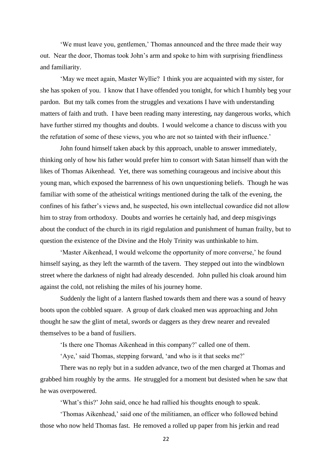'We must leave you, gentlemen,' Thomas announced and the three made their way out. Near the door, Thomas took John's arm and spoke to him with surprising friendliness and familiarity.

'May we meet again, Master Wyllie? I think you are acquainted with my sister, for she has spoken of you. I know that I have offended you tonight, for which I humbly beg your pardon. But my talk comes from the struggles and vexations I have with understanding matters of faith and truth. I have been reading many interesting, nay dangerous works, which have further stirred my thoughts and doubts. I would welcome a chance to discuss with you the refutation of some of these views, you who are not so tainted with their influence.'

John found himself taken aback by this approach, unable to answer immediately, thinking only of how his father would prefer him to consort with Satan himself than with the likes of Thomas Aikenhead. Yet, there was something courageous and incisive about this young man, which exposed the barrenness of his own unquestioning beliefs. Though he was familiar with some of the atheistical writings mentioned during the talk of the evening, the confines of his father's views and, he suspected, his own intellectual cowardice did not allow him to stray from orthodoxy. Doubts and worries he certainly had, and deep misgivings about the conduct of the church in its rigid regulation and punishment of human frailty, but to question the existence of the Divine and the Holy Trinity was unthinkable to him.

'Master Aikenhead, I would welcome the opportunity of more converse,' he found himself saying, as they left the warmth of the tavern. They stepped out into the windblown street where the darkness of night had already descended. John pulled his cloak around him against the cold, not relishing the miles of his journey home.

Suddenly the light of a lantern flashed towards them and there was a sound of heavy boots upon the cobbled square. A group of dark cloaked men was approaching and John thought he saw the glint of metal, swords or daggers as they drew nearer and revealed themselves to be a band of fusiliers.

'Is there one Thomas Aikenhead in this company?' called one of them.

'Aye,' said Thomas, stepping forward, 'and who is it that seeks me?'

There was no reply but in a sudden advance, two of the men charged at Thomas and grabbed him roughly by the arms. He struggled for a moment but desisted when he saw that he was overpowered.

'What's this?' John said, once he had rallied his thoughts enough to speak.

'Thomas Aikenhead,' said one of the militiamen, an officer who followed behind those who now held Thomas fast. He removed a rolled up paper from his jerkin and read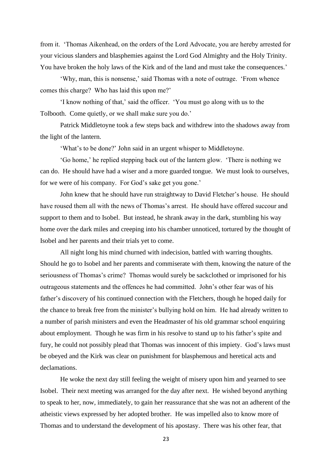from it. 'Thomas Aikenhead, on the orders of the Lord Advocate, you are hereby arrested for your vicious slanders and blasphemies against the Lord God Almighty and the Holy Trinity. You have broken the holy laws of the Kirk and of the land and must take the consequences.'

'Why, man, this is nonsense,' said Thomas with a note of outrage. 'From whence comes this charge? Who has laid this upon me?'

'I know nothing of that,' said the officer. 'You must go along with us to the Tolbooth. Come quietly, or we shall make sure you do.'

Patrick Middletoyne took a few steps back and withdrew into the shadows away from the light of the lantern.

'What's to be done?' John said in an urgent whisper to Middletoyne.

'Go home,' he replied stepping back out of the lantern glow. 'There is nothing we can do. He should have had a wiser and a more guarded tongue. We must look to ourselves, for we were of his company. For God's sake get you gone.'

John knew that he should have run straightway to David Fletcher's house. He should have roused them all with the news of Thomas's arrest. He should have offered succour and support to them and to Isobel. But instead, he shrank away in the dark, stumbling his way home over the dark miles and creeping into his chamber unnoticed, tortured by the thought of Isobel and her parents and their trials yet to come.

All night long his mind churned with indecision, battled with warring thoughts. Should he go to Isobel and her parents and commiserate with them, knowing the nature of the seriousness of Thomas's crime? Thomas would surely be sackclothed or imprisoned for his outrageous statements and the offences he had committed. John's other fear was of his father's discovery of his continued connection with the Fletchers, though he hoped daily for the chance to break free from the minister's bullying hold on him. He had already written to a number of parish ministers and even the Headmaster of his old grammar school enquiring about employment. Though he was firm in his resolve to stand up to his father's spite and fury, he could not possibly plead that Thomas was innocent of this impiety. God's laws must be obeyed and the Kirk was clear on punishment for blasphemous and heretical acts and declamations.

He woke the next day still feeling the weight of misery upon him and yearned to see Isobel. Their next meeting was arranged for the day after next. He wished beyond anything to speak to her, now, immediately, to gain her reassurance that she was not an adherent of the atheistic views expressed by her adopted brother. He was impelled also to know more of Thomas and to understand the development of his apostasy. There was his other fear, that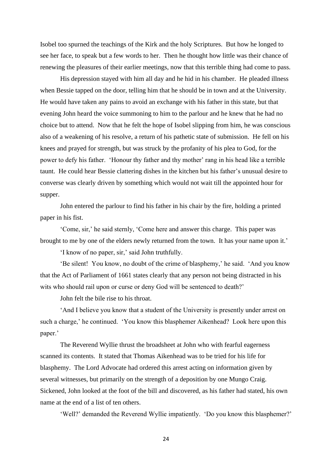Isobel too spurned the teachings of the Kirk and the holy Scriptures. But how he longed to see her face, to speak but a few words to her. Then he thought how little was their chance of renewing the pleasures of their earlier meetings, now that this terrible thing had come to pass.

His depression stayed with him all day and he hid in his chamber. He pleaded illness when Bessie tapped on the door, telling him that he should be in town and at the University. He would have taken any pains to avoid an exchange with his father in this state, but that evening John heard the voice summoning to him to the parlour and he knew that he had no choice but to attend. Now that he felt the hope of Isobel slipping from him, he was conscious also of a weakening of his resolve, a return of his pathetic state of submission. He fell on his knees and prayed for strength, but was struck by the profanity of his plea to God, for the power to defy his father. 'Honour thy father and thy mother' rang in his head like a terrible taunt. He could hear Bessie clattering dishes in the kitchen but his father's unusual desire to converse was clearly driven by something which would not wait till the appointed hour for supper.

John entered the parlour to find his father in his chair by the fire, holding a printed paper in his fist.

'Come, sir,' he said sternly, 'Come here and answer this charge. This paper was brought to me by one of the elders newly returned from the town. It has your name upon it.'

'I know of no paper, sir,' said John truthfully.

'Be silent! You know, no doubt of the crime of blasphemy,' he said. 'And you know that the Act of Parliament of 1661 states clearly that any person not being distracted in his wits who should rail upon or curse or deny God will be sentenced to death?'

John felt the bile rise to his throat.

'And I believe you know that a student of the University is presently under arrest on such a charge,' he continued. 'You know this blasphemer Aikenhead? Look here upon this paper.'

The Reverend Wyllie thrust the broadsheet at John who with fearful eagerness scanned its contents. It stated that Thomas Aikenhead was to be tried for his life for blasphemy. The Lord Advocate had ordered this arrest acting on information given by several witnesses, but primarily on the strength of a deposition by one Mungo Craig. Sickened, John looked at the foot of the bill and discovered, as his father had stated, his own name at the end of a list of ten others.

'Well?' demanded the Reverend Wyllie impatiently. 'Do you know this blasphemer?'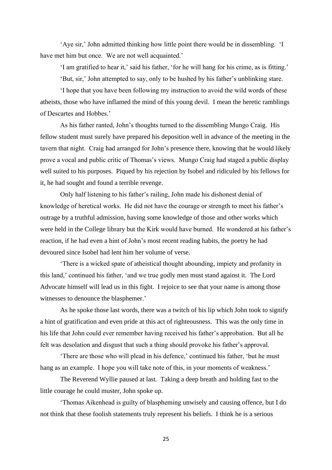'Aye sir,' John admitted thinking how little point there would be in dissembling. 'I have met him but once. We are not well acquainted.'

'I am gratified to hear it,' said his father, 'for he will hang for his crime, as is fitting.'

'But, sir,' John attempted to say, only to be hushed by his father's unblinking stare.

'I hope that you have been following my instruction to avoid the wild words of these atheists, those who have inflamed the mind of this young devil. I mean the heretic ramblings of Descartes and Hobbes.'

As his father ranted, John's thoughts turned to the dissembling Mungo Craig. His fellow student must surely have prepared his deposition well in advance of the meeting in the tavern that night. Craig had arranged for John's presence there, knowing that he would likely prove a vocal and public critic of Thomas's views. Mungo Craig had staged a public display well suited to his purposes. Piqued by his rejection by Isobel and ridiculed by his fellows for it, he had sought and found a terrible revenge.

Only half listening to his father's railing, John made his dishonest denial of knowledge of heretical works. He did not have the courage or strength to meet his father's outrage by a truthful admission, having some knowledge of those and other works which were held in the College library but the Kirk would have burned. He wondered at his father's reaction, if he had even a hint of John's most recent reading habits, the poetry he had devoured since Isobel had lent him her volume of verse.

'There is a wicked spate of atheistical thought abounding, impiety and profanity in this land,' continued his father, 'and we true godly men must stand against it. The Lord Advocate himself will lead us in this fight. I rejoice to see that your name is among those witnesses to denounce the blasphemer.'

As he spoke those last words, there was a twitch of his lip which John took to signify a hint of gratification and even pride at this act of righteousness. This was the only time in his life that John could ever remember having received his father's approbation. But all he felt was desolation and disgust that such a thing should provoke his father's approval.

'There are those who will plead in his defence,' continued his father, 'but he must hang as an example. I hope you will take note of this, in your moments of weakness.'

The Reverend Wyllie paused at last. Taking a deep breath and holding fast to the little courage he could muster, John spoke up.

'Thomas Aikenhead is guilty of blaspheming unwisely and causing offence, but I do not think that these foolish statements truly represent his beliefs. I think he is a serious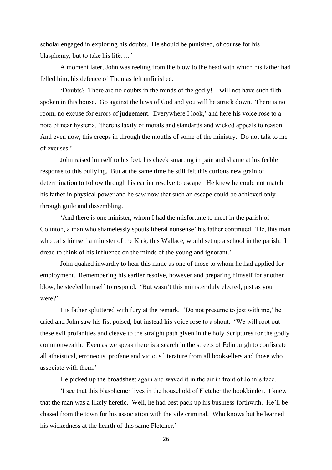scholar engaged in exploring his doubts. He should be punished, of course for his blasphemy, but to take his life…..'

A moment later, John was reeling from the blow to the head with which his father had felled him, his defence of Thomas left unfinished.

'Doubts? There are no doubts in the minds of the godly! I will not have such filth spoken in this house. Go against the laws of God and you will be struck down. There is no room, no excuse for errors of judgement. Everywhere I look,' and here his voice rose to a note of near hysteria, 'there is laxity of morals and standards and wicked appeals to reason. And even now, this creeps in through the mouths of some of the ministry. Do not talk to me of excuses.'

John raised himself to his feet, his cheek smarting in pain and shame at his feeble response to this bullying. But at the same time he still felt this curious new grain of determination to follow through his earlier resolve to escape. He knew he could not match his father in physical power and he saw now that such an escape could be achieved only through guile and dissembling.

'And there is one minister, whom I had the misfortune to meet in the parish of Colinton, a man who shamelessly spouts liberal nonsense' his father continued. 'He, this man who calls himself a minister of the Kirk, this Wallace, would set up a school in the parish. I dread to think of his influence on the minds of the young and ignorant.'

John quaked inwardly to hear this name as one of those to whom he had applied for employment. Remembering his earlier resolve, however and preparing himself for another blow, he steeled himself to respond. 'But wasn't this minister duly elected, just as you were?'

His father spluttered with fury at the remark. 'Do not presume to jest with me,' he cried and John saw his fist poised, but instead his voice rose to a shout. 'We will root out these evil profanities and cleave to the straight path given in the holy Scriptures for the godly commonwealth. Even as we speak there is a search in the streets of Edinburgh to confiscate all atheistical, erroneous, profane and vicious literature from all booksellers and those who associate with them.'

He picked up the broadsheet again and waved it in the air in front of John's face.

'I see that this blasphemer lives in the household of Fletcher the bookbinder. I knew that the man was a likely heretic. Well, he had best pack up his business forthwith. He'll be chased from the town for his association with the vile criminal. Who knows but he learned his wickedness at the hearth of this same Fletcher.'